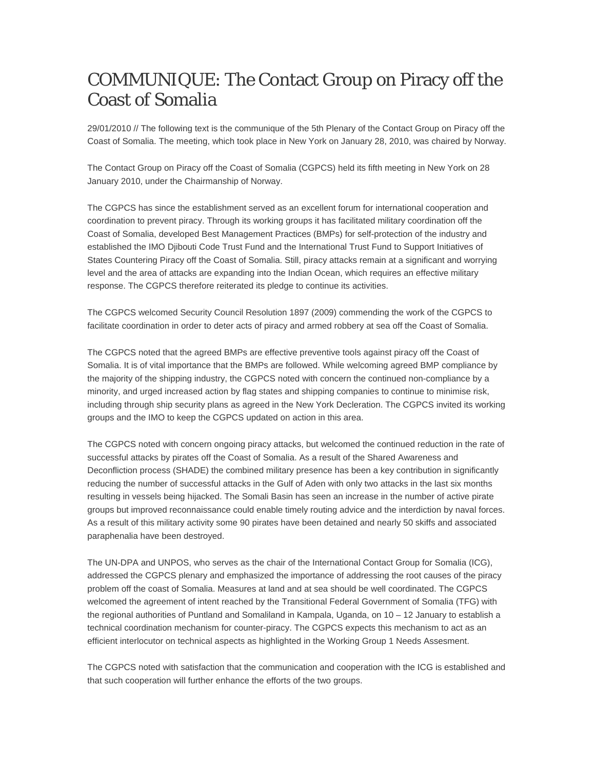## COMMUNIQUE: The Contact Group on Piracy off the Coast of Somalia

29/01/2010 // The following text is the communique of the 5th Plenary of the Contact Group on Piracy off the Coast of Somalia. The meeting, which took place in New York on January 28, 2010, was chaired by Norway.

The Contact Group on Piracy off the Coast of Somalia (CGPCS) held its fifth meeting in New York on 28 January 2010, under the Chairmanship of Norway.

The CGPCS has since the establishment served as an excellent forum for international cooperation and coordination to prevent piracy. Through its working groups it has facilitated military coordination off the Coast of Somalia, developed Best Management Practices (BMPs) for self-protection of the industry and established the IMO Djibouti Code Trust Fund and the International Trust Fund to Support Initiatives of States Countering Piracy off the Coast of Somalia. Still, piracy attacks remain at a significant and worrying level and the area of attacks are expanding into the Indian Ocean, which requires an effective military response. The CGPCS therefore reiterated its pledge to continue its activities.

The CGPCS welcomed Security Council Resolution 1897 (2009) commending the work of the CGPCS to facilitate coordination in order to deter acts of piracy and armed robbery at sea off the Coast of Somalia.

The CGPCS noted that the agreed BMPs are effective preventive tools against piracy off the Coast of Somalia. It is of vital importance that the BMPs are followed. While welcoming agreed BMP compliance by the majority of the shipping industry, the CGPCS noted with concern the continued non-compliance by a minority, and urged increased action by flag states and shipping companies to continue to minimise risk, including through ship security plans as agreed in the New York Decleration. The CGPCS invited its working groups and the IMO to keep the CGPCS updated on action in this area.

The CGPCS noted with concern ongoing piracy attacks, but welcomed the continued reduction in the rate of successful attacks by pirates off the Coast of Somalia. As a result of the Shared Awareness and Deconfliction process (SHADE) the combined military presence has been a key contribution in significantly reducing the number of successful attacks in the Gulf of Aden with only two attacks in the last six months resulting in vessels being hijacked. The Somali Basin has seen an increase in the number of active pirate groups but improved reconnaissance could enable timely routing advice and the interdiction by naval forces. As a result of this military activity some 90 pirates have been detained and nearly 50 skiffs and associated paraphenalia have been destroyed.

The UN-DPA and UNPOS, who serves as the chair of the International Contact Group for Somalia (ICG), addressed the CGPCS plenary and emphasized the importance of addressing the root causes of the piracy problem off the coast of Somalia. Measures at land and at sea should be well coordinated. The CGPCS welcomed the agreement of intent reached by the Transitional Federal Government of Somalia (TFG) with the regional authorities of Puntland and Somaliland in Kampala, Uganda, on 10 – 12 January to establish a technical coordination mechanism for counter-piracy. The CGPCS expects this mechanism to act as an efficient interlocutor on technical aspects as highlighted in the Working Group 1 Needs Assesment.

The CGPCS noted with satisfaction that the communication and cooperation with the ICG is established and that such cooperation will further enhance the efforts of the two groups.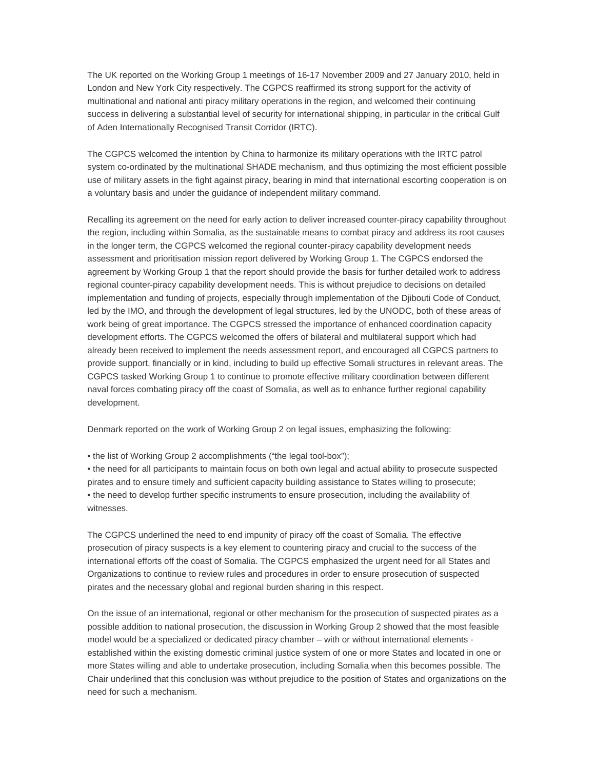The UK reported on the Working Group 1 meetings of 16-17 November 2009 and 27 January 2010, held in London and New York City respectively. The CGPCS reaffirmed its strong support for the activity of multinational and national anti piracy military operations in the region, and welcomed their continuing success in delivering a substantial level of security for international shipping, in particular in the critical Gulf of Aden Internationally Recognised Transit Corridor (IRTC).

The CGPCS welcomed the intention by China to harmonize its military operations with the IRTC patrol system co-ordinated by the multinational SHADE mechanism, and thus optimizing the most efficient possible use of military assets in the fight against piracy, bearing in mind that international escorting cooperation is on a voluntary basis and under the guidance of independent military command.

Recalling its agreement on the need for early action to deliver increased counter-piracy capability throughout the region, including within Somalia, as the sustainable means to combat piracy and address its root causes in the longer term, the CGPCS welcomed the regional counter-piracy capability development needs assessment and prioritisation mission report delivered by Working Group 1. The CGPCS endorsed the agreement by Working Group 1 that the report should provide the basis for further detailed work to address regional counter-piracy capability development needs. This is without prejudice to decisions on detailed implementation and funding of projects, especially through implementation of the Djibouti Code of Conduct, led by the IMO, and through the development of legal structures, led by the UNODC, both of these areas of work being of great importance. The CGPCS stressed the importance of enhanced coordination capacity development efforts. The CGPCS welcomed the offers of bilateral and multilateral support which had already been received to implement the needs assessment report, and encouraged all CGPCS partners to provide support, financially or in kind, including to build up effective Somali structures in relevant areas. The CGPCS tasked Working Group 1 to continue to promote effective military coordination between different naval forces combating piracy off the coast of Somalia, as well as to enhance further regional capability development.

Denmark reported on the work of Working Group 2 on legal issues, emphasizing the following:

• the list of Working Group 2 accomplishments ("the legal tool-box");

• the need for all participants to maintain focus on both own legal and actual ability to prosecute suspected pirates and to ensure timely and sufficient capacity building assistance to States willing to prosecute; • the need to develop further specific instruments to ensure prosecution, including the availability of witnesses.

The CGPCS underlined the need to end impunity of piracy off the coast of Somalia. The effective prosecution of piracy suspects is a key element to countering piracy and crucial to the success of the international efforts off the coast of Somalia. The CGPCS emphasized the urgent need for all States and Organizations to continue to review rules and procedures in order to ensure prosecution of suspected pirates and the necessary global and regional burden sharing in this respect.

On the issue of an international, regional or other mechanism for the prosecution of suspected pirates as a possible addition to national prosecution, the discussion in Working Group 2 showed that the most feasible model would be a specialized or dedicated piracy chamber – with or without international elements established within the existing domestic criminal justice system of one or more States and located in one or more States willing and able to undertake prosecution, including Somalia when this becomes possible. The Chair underlined that this conclusion was without prejudice to the position of States and organizations on the need for such a mechanism.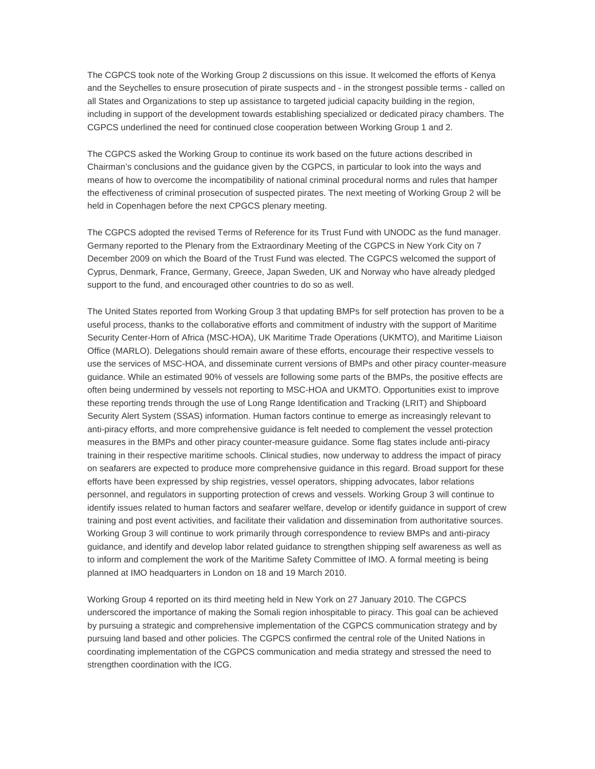The CGPCS took note of the Working Group 2 discussions on this issue. It welcomed the efforts of Kenya and the Seychelles to ensure prosecution of pirate suspects and - in the strongest possible terms - called on all States and Organizations to step up assistance to targeted judicial capacity building in the region, including in support of the development towards establishing specialized or dedicated piracy chambers. The CGPCS underlined the need for continued close cooperation between Working Group 1 and 2.

The CGPCS asked the Working Group to continue its work based on the future actions described in Chairman's conclusions and the guidance given by the CGPCS, in particular to look into the ways and means of how to overcome the incompatibility of national criminal procedural norms and rules that hamper the effectiveness of criminal prosecution of suspected pirates. The next meeting of Working Group 2 will be held in Copenhagen before the next CPGCS plenary meeting.

The CGPCS adopted the revised Terms of Reference for its Trust Fund with UNODC as the fund manager. Germany reported to the Plenary from the Extraordinary Meeting of the CGPCS in New York City on 7 December 2009 on which the Board of the Trust Fund was elected. The CGPCS welcomed the support of Cyprus, Denmark, France, Germany, Greece, Japan Sweden, UK and Norway who have already pledged support to the fund, and encouraged other countries to do so as well.

The United States reported from Working Group 3 that updating BMPs for self protection has proven to be a useful process, thanks to the collaborative efforts and commitment of industry with the support of Maritime Security Center-Horn of Africa (MSC-HOA), UK Maritime Trade Operations (UKMTO), and Maritime Liaison Office (MARLO). Delegations should remain aware of these efforts, encourage their respective vessels to use the services of MSC-HOA, and disseminate current versions of BMPs and other piracy counter-measure guidance. While an estimated 90% of vessels are following some parts of the BMPs, the positive effects are often being undermined by vessels not reporting to MSC-HOA and UKMTO. Opportunities exist to improve these reporting trends through the use of Long Range Identification and Tracking (LRIT) and Shipboard Security Alert System (SSAS) information. Human factors continue to emerge as increasingly relevant to anti-piracy efforts, and more comprehensive guidance is felt needed to complement the vessel protection measures in the BMPs and other piracy counter-measure guidance. Some flag states include anti-piracy training in their respective maritime schools. Clinical studies, now underway to address the impact of piracy on seafarers are expected to produce more comprehensive guidance in this regard. Broad support for these efforts have been expressed by ship registries, vessel operators, shipping advocates, labor relations personnel, and regulators in supporting protection of crews and vessels. Working Group 3 will continue to identify issues related to human factors and seafarer welfare, develop or identify guidance in support of crew training and post event activities, and facilitate their validation and dissemination from authoritative sources. Working Group 3 will continue to work primarily through correspondence to review BMPs and anti-piracy guidance, and identify and develop labor related guidance to strengthen shipping self awareness as well as to inform and complement the work of the Maritime Safety Committee of IMO. A formal meeting is being planned at IMO headquarters in London on 18 and 19 March 2010.

Working Group 4 reported on its third meeting held in New York on 27 January 2010. The CGPCS underscored the importance of making the Somali region inhospitable to piracy. This goal can be achieved by pursuing a strategic and comprehensive implementation of the CGPCS communication strategy and by pursuing land based and other policies. The CGPCS confirmed the central role of the United Nations in coordinating implementation of the CGPCS communication and media strategy and stressed the need to strengthen coordination with the ICG.